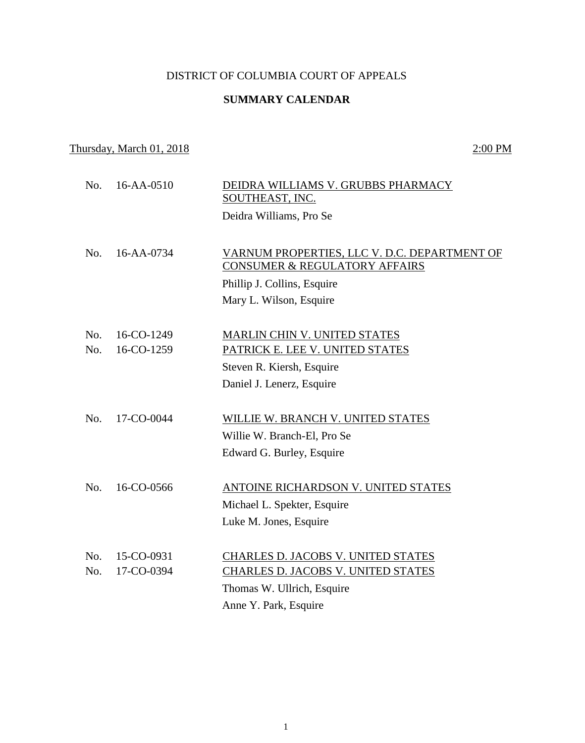# DISTRICT OF COLUMBIA COURT OF APPEALS

# **SUMMARY CALENDAR**

# Thursday, March 01, 2018 2:00 PM

 No. 16-AA-0510 DEIDRA WILLIAMS V. GRUBBS PHARMACY SOUTHEAST, INC. Deidra Williams, Pro Se No. 16-AA-0734 VARNUM PROPERTIES, LLC V. D.C. DEPARTMENT OF CONSUMER & REGULATORY AFFAIRS Phillip J. Collins, Esquire Mary L. Wilson, Esquire No. 16-CO-1249 MARLIN CHIN V. UNITED STATES No. 16-CO-1259 PATRICK E. LEE V. UNITED STATES Steven R. Kiersh, Esquire Daniel J. Lenerz, Esquire No. 17-CO-0044 WILLIE W. BRANCH V. UNITED STATES Willie W. Branch-El, Pro Se Edward G. Burley, Esquire No. 16-CO-0566 ANTOINE RICHARDSON V. UNITED STATES Michael L. Spekter, Esquire Luke M. Jones, Esquire No. 15-CO-0931 CHARLES D. JACOBS V. UNITED STATES No. 17-CO-0394 CHARLES D. JACOBS V. UNITED STATES Thomas W. Ullrich, Esquire Anne Y. Park, Esquire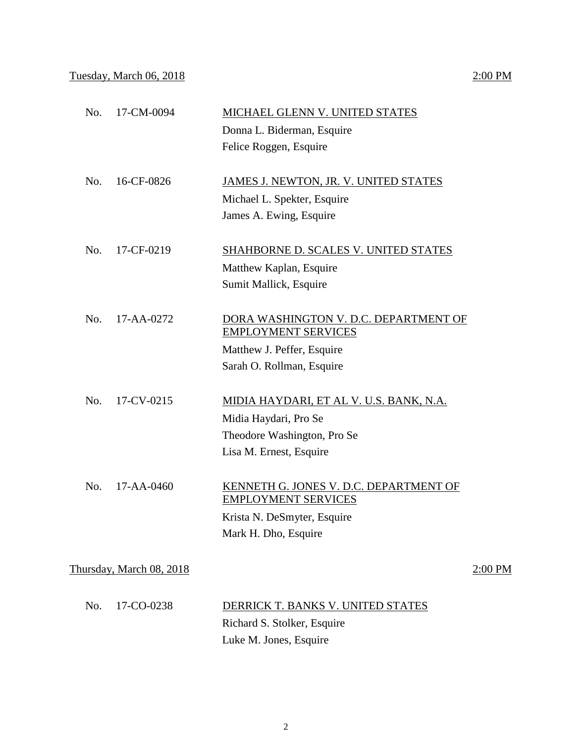# Tuesday, March 06, 2018 2:00 PM

|     |                          | Donna L. Biderman, Esquire                                           |         |
|-----|--------------------------|----------------------------------------------------------------------|---------|
|     |                          | Felice Roggen, Esquire                                               |         |
| No. | 16-CF-0826               | JAMES J. NEWTON, JR. V. UNITED STATES                                |         |
|     |                          | Michael L. Spekter, Esquire                                          |         |
|     |                          | James A. Ewing, Esquire                                              |         |
| No. | 17-CF-0219               | SHAHBORNE D. SCALES V. UNITED STATES                                 |         |
|     |                          | Matthew Kaplan, Esquire                                              |         |
|     |                          | Sumit Mallick, Esquire                                               |         |
| No. | 17-AA-0272               | DORA WASHINGTON V. D.C. DEPARTMENT OF<br><b>EMPLOYMENT SERVICES</b>  |         |
|     |                          | Matthew J. Peffer, Esquire                                           |         |
|     |                          | Sarah O. Rollman, Esquire                                            |         |
| No. | 17-CV-0215               | <u>MIDIA HAYDARI, ET AL V. U.S. BANK, N.A.</u>                       |         |
|     |                          | Midia Haydari, Pro Se                                                |         |
|     |                          | Theodore Washington, Pro Se                                          |         |
|     |                          | Lisa M. Ernest, Esquire                                              |         |
| No. | $17 - AA - 0460$         | KENNETH G. JONES V. D.C. DEPARTMENT OF<br><b>EMPLOYMENT SERVICES</b> |         |
|     |                          | Krista N. DeSmyter, Esquire                                          |         |
|     |                          | Mark H. Dho, Esquire                                                 |         |
|     | Thursday, March 08, 2018 |                                                                      | 2:00 PM |
| No. | 17-CO-0238               | DERRICK T. BANKS V. UNITED STATES                                    |         |
|     |                          | Richard S. Stolker, Esquire                                          |         |
|     |                          | Luke M. Jones, Esquire                                               |         |

No. 17-CM-0094 MICHAEL GLENN V. UNITED STATES

2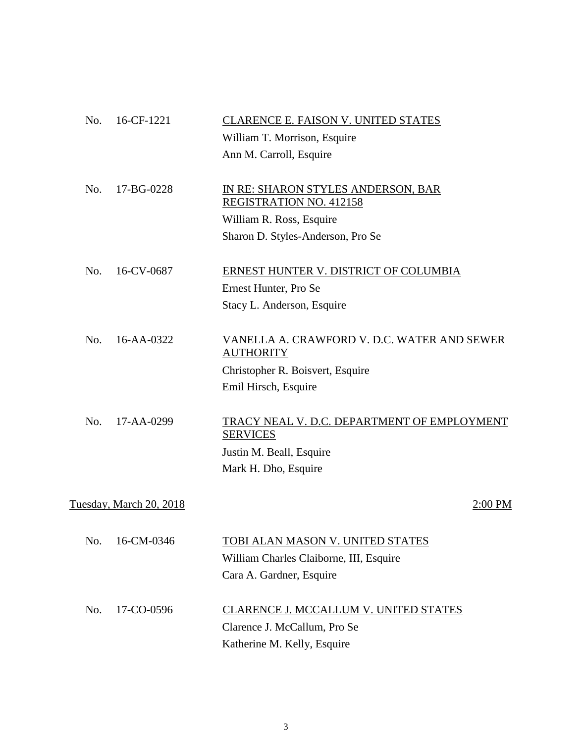| No. | 16-CF-1221              | CLARENCE E. FAISON V. UNITED STATES                                  |
|-----|-------------------------|----------------------------------------------------------------------|
|     |                         | William T. Morrison, Esquire                                         |
|     |                         | Ann M. Carroll, Esquire                                              |
| No. | 17-BG-0228              | IN RE: SHARON STYLES ANDERSON, BAR<br><b>REGISTRATION NO. 412158</b> |
|     |                         | William R. Ross, Esquire                                             |
|     |                         | Sharon D. Styles-Anderson, Pro Se                                    |
| No. | 16-CV-0687              | ERNEST HUNTER V. DISTRICT OF COLUMBIA                                |
|     |                         | Ernest Hunter, Pro Se                                                |
|     |                         | Stacy L. Anderson, Esquire                                           |
| No. | 16-AA-0322              | VANELLA A. CRAWFORD V. D.C. WATER AND SEWER<br><b>AUTHORITY</b>      |
|     |                         | Christopher R. Boisvert, Esquire                                     |
|     |                         | Emil Hirsch, Esquire                                                 |
| No. | 17-AA-0299              | TRACY NEAL V. D.C. DEPARTMENT OF EMPLOYMENT<br><b>SERVICES</b>       |
|     |                         | Justin M. Beall, Esquire                                             |
|     |                         | Mark H. Dho, Esquire                                                 |
|     | Tuesday, March 20, 2018 | 2:00 PM                                                              |
| No. | 16-CM-0346              | TOBI ALAN MASON V. UNITED STATES                                     |
|     |                         | William Charles Claiborne, III, Esquire                              |
|     |                         | Cara A. Gardner, Esquire                                             |
| No. | 17-CO-0596              | CLARENCE J. MCCALLUM V. UNITED STATES                                |
|     |                         | Clarence J. McCallum, Pro Se                                         |
|     |                         | Katherine M. Kelly, Esquire                                          |
|     |                         |                                                                      |